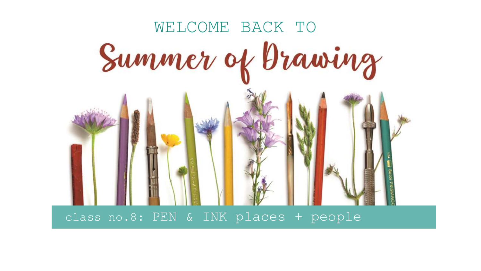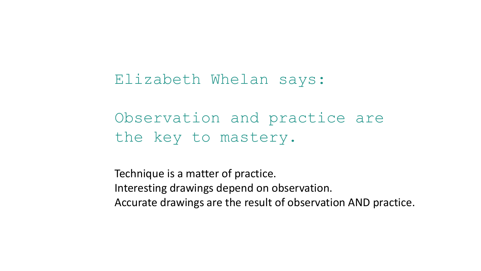Elizabeth Whelan says:

Observation and practice are the key to mastery.

Technique is a matter of practice. Interesting drawings depend on observation. Accurate drawings are the result of observation AND practice.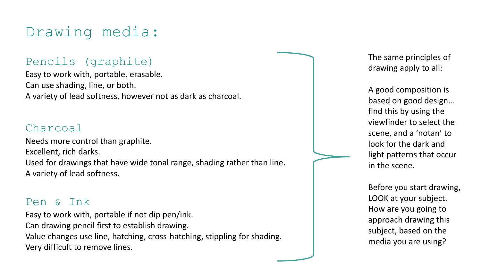### Drawing media:

### Pencils (graphite)

Easy to work with, portable, erasable. Can use shading, line, or both. A variety of lead softness, however not as dark as charcoal.

#### Charcoal

Needs more control than graphite. Excellent, rich darks. Used for drawings that have wide tonal range, shading rather than line. A variety of lead softness.

#### Pen & Ink

Easy to work with, portable if not dip pen/ink. Can drawing pencil first to establish drawing. Value changes use line, hatching, cross-hatching, stippling for shading. Very difficult to remove lines.

The same principles of drawing apply to all:

A good composition is based on good design… find this by using the viewfinder to select the scene, and a 'notan' to look for the dark and light patterns that occur in the scene.

Before you start drawing, LOOK at your subject. How are you going to approach drawing this subject, based on the media you are using?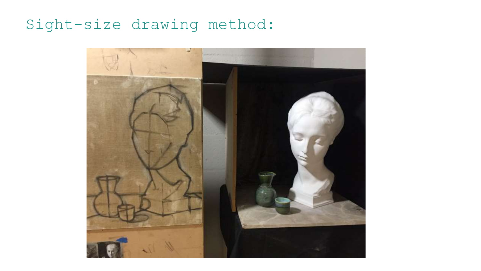## Sight-size drawing method:

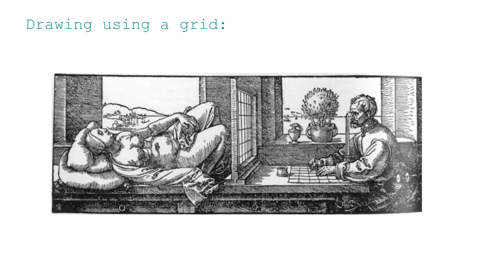# Drawing using a grid:

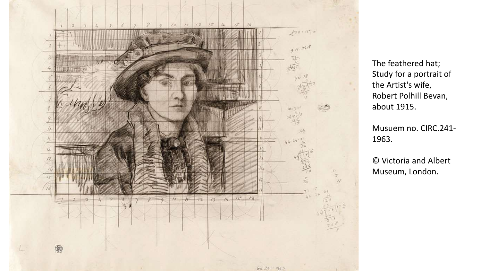

The feathered hat; Study for a portrait of the Artist's wife, Robert Polhill Bevan, about 1915.

Musuem no. CIRC.241- 1963.

© Victoria and Albert Museum, London.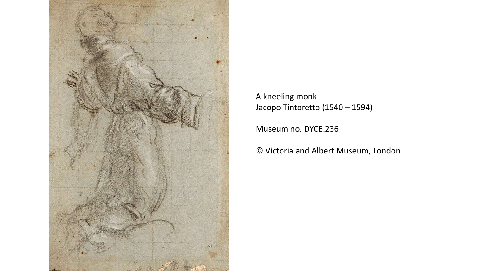![](_page_6_Picture_0.jpeg)

A kneeling monk Jacopo Tintoretto (1540 – 1594)

Museum no. DYCE.236

© Victoria and Albert Museum, London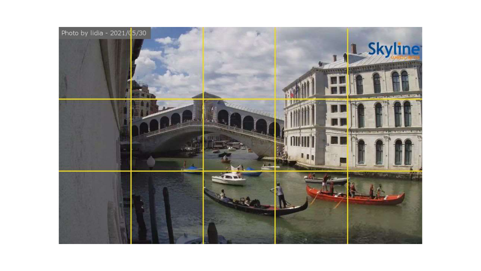![](_page_7_Picture_0.jpeg)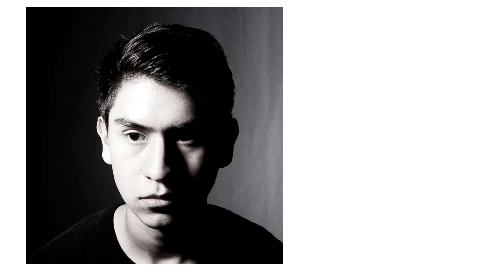![](_page_8_Picture_0.jpeg)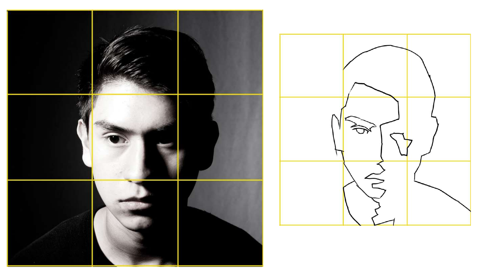![](_page_9_Picture_0.jpeg)

![](_page_9_Figure_1.jpeg)